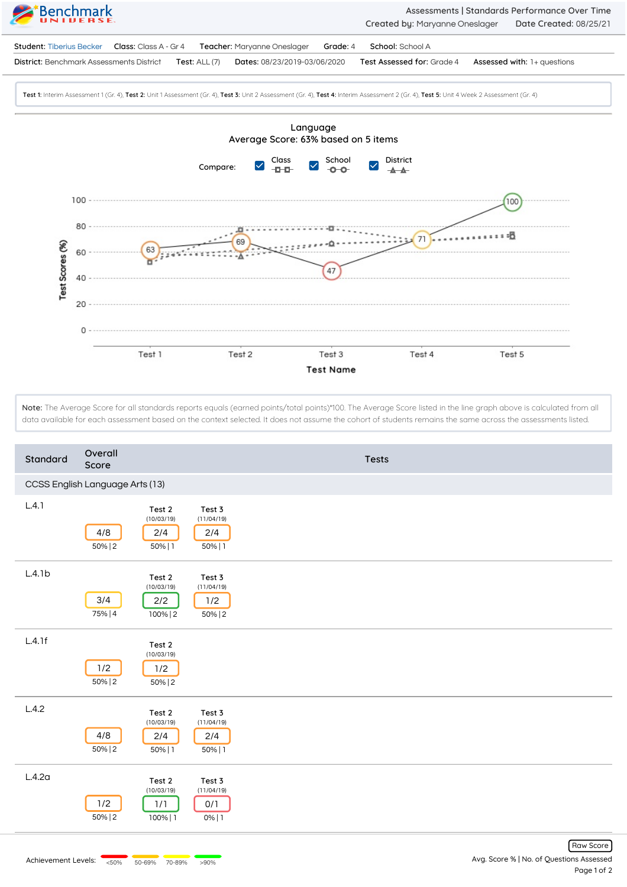

Note: The Average Score for all standards reports equals (earned points/total points)\*100. The Average Score listed in the line graph above is calculated from all data available for each assessment based on the context selected. It does not assume the cohort of students remains the same across the assessments listed.